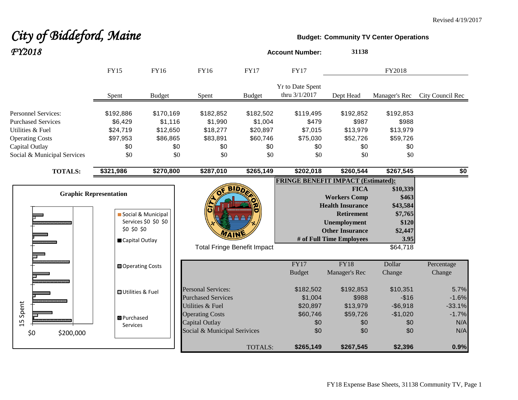# *City of Biddeford, Maine* **Budget:** Community TV Center Operations

| FY2018                                   |                                                         |                                              |                                              |                                                              |                                              | <b>Account Number:</b>                    | 31138                                                                                          |                                            |                            |
|------------------------------------------|---------------------------------------------------------|----------------------------------------------|----------------------------------------------|--------------------------------------------------------------|----------------------------------------------|-------------------------------------------|------------------------------------------------------------------------------------------------|--------------------------------------------|----------------------------|
|                                          |                                                         | <b>FY15</b>                                  | FY16                                         | FY16                                                         | <b>FY17</b>                                  | <b>FY17</b>                               |                                                                                                | FY2018                                     |                            |
|                                          |                                                         | Spent                                        | <b>Budget</b>                                | Spent                                                        | <b>Budget</b>                                | Yr to Date Spent<br>thru 3/1/2017         | Dept Head                                                                                      | Manager's Rec                              | City Council Rec           |
| Utilities & Fuel                         | <b>Personnel Services:</b><br><b>Purchased Services</b> | \$192,886<br>\$6,429<br>\$24,719<br>\$97,953 | \$170,169<br>\$1,116<br>\$12,650<br>\$86,865 | \$182,852<br>\$1,990<br>\$18,277                             | \$182,502<br>\$1,004<br>\$20,897<br>\$60,746 | \$119,495<br>\$479<br>\$7,015<br>\$75,030 | \$192,852<br>\$987<br>\$13,979<br>\$52,726                                                     | \$192,853<br>\$988<br>\$13,979<br>\$59,726 |                            |
| <b>Operating Costs</b><br>Capital Outlay |                                                         | \$0                                          |                                              | \$83,891<br>\$0<br>\$0                                       | \$0                                          | \$0                                       | \$0                                                                                            | \$0                                        |                            |
|                                          | Social & Municipal Services                             | \$0                                          |                                              | \$0<br>\$0                                                   | \$0                                          | \$0                                       | \$0                                                                                            | \$0                                        |                            |
|                                          | <b>TOTALS:</b>                                          | \$321,986                                    | \$270,800                                    | \$287,010                                                    | \$265,149                                    | \$202,018                                 | \$260,544                                                                                      | \$267,545                                  | \$0                        |
|                                          |                                                         |                                              |                                              |                                                              |                                              | <b>FRINGE BENEFIT IMPACT (Estimated):</b> |                                                                                                |                                            |                            |
|                                          |                                                         | <b>Graphic Representation</b>                |                                              |                                                              |                                              |                                           | <b>FICA</b><br><b>Workers Comp</b><br><b>Health Insurance</b>                                  | \$10,339<br>\$463<br>\$43,584              |                            |
|                                          |                                                         | \$0 \$0 \$0<br>Capital Outlay                | Social & Municipal<br>Services \$0 \$0 \$0   | <b>VAIN</b>                                                  |                                              |                                           | <b>Retirement</b><br><b>Unemployment</b><br><b>Other Insurance</b><br># of Full Time Employees | \$7,765<br>\$120<br>\$2,447<br>3.95        |                            |
|                                          |                                                         |                                              |                                              |                                                              | <b>Total Fringe Benefit Impact</b>           |                                           |                                                                                                | \$64,718                                   |                            |
|                                          |                                                         | <b>□</b> Operating Costs                     |                                              |                                                              |                                              | FY17<br><b>Budget</b>                     | <b>FY18</b><br>Manager's Rec                                                                   | Dollar<br>Change                           | Percentage<br>Change       |
|                                          |                                                         | <b>OUtilities &amp; Fuel</b>                 |                                              | <b>Personal Services:</b><br><b>Purchased Services</b>       |                                              | \$182,502<br>\$1,004                      | \$192,853<br>\$988                                                                             | \$10,351<br>$-$16$                         | 5.7%<br>$-1.6%$            |
| Spent<br>15                              |                                                         | <b>B</b> Purchased<br><b>Services</b>        |                                              | Utilities & Fuel<br><b>Operating Costs</b><br>Capital Outlay |                                              | \$20,897<br>\$60,746<br>\$0               | \$13,979<br>\$59,726<br>\$0                                                                    | $-$6,918$<br>$-$1,020$<br>\$0              | $-33.1%$<br>$-1.7%$<br>N/A |
| \$0                                      | \$200,000                                               |                                              |                                              | Social & Municipal Serivices                                 |                                              | \$0                                       | \$0                                                                                            | \$0                                        | N/A                        |
|                                          |                                                         |                                              |                                              |                                                              | TOTALS:                                      | \$265,149                                 | \$267,545                                                                                      | \$2,396                                    | 0.9%                       |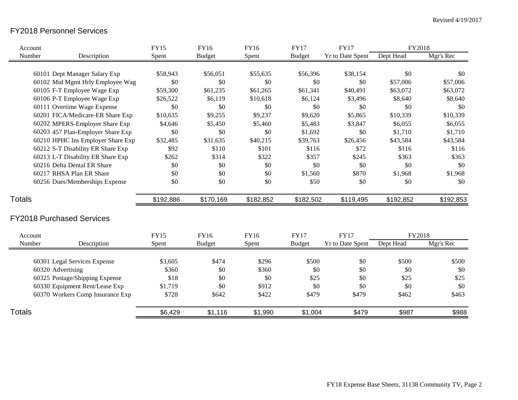### FY2018 Personnel Services

| Account       |                                   | <b>FY15</b> | <b>FY16</b>   | <b>FY16</b> | <b>FY17</b>   | <b>FY17</b>             | FY2018    |           |
|---------------|-----------------------------------|-------------|---------------|-------------|---------------|-------------------------|-----------|-----------|
| Number        | Description                       | Spent       | <b>Budget</b> | Spent       | <b>Budget</b> | <b>Yr to Date Spent</b> | Dept Head | Mgr's Rec |
|               |                                   |             |               |             |               |                         |           |           |
|               | 60101 Dept Manager Salary Exp     | \$58,943    | \$56,051      | \$55,635    | \$56,396      | \$38,154                | \$0       | \$0       |
|               | 60102 Mid Mgmt Hrly Employee Wag  | \$0         | \$0           | \$0         | \$0           | \$0                     | \$57,006  | \$57,006  |
|               | 60105 F-T Employee Wage Exp       | \$59,300    | \$61,235      | \$61,265    | \$61,341      | \$40,491                | \$63,072  | \$63,072  |
|               | 60106 P-T Employee Wage Exp       | \$26,522    | \$6,119       | \$10,618    | \$6,124       | \$3,496                 | \$8,640   | \$8,640   |
|               | 60111 Overtime Wage Expense       | \$0         | \$0           | \$0         | \$0           | \$0                     | \$0       | \$0       |
|               | 60201 FICA/Medicare-ER Share Exp  | \$10,635    | \$9,255       | \$9,237     | \$9,620       | \$5,865                 | \$10,339  | \$10,339  |
|               | 60202 MPERS-Employer Share Exp    | \$4,646     | \$5,450       | \$5,460     | \$5,483       | \$3,847                 | \$6,055   | \$6,055   |
|               | 60203 457 Plan-Employer Share Exp | \$0         | \$0           | \$0         | \$1,692       | \$0                     | \$1,710   | \$1,710   |
|               | 60210 HPHC Ins Employer Share Exp | \$32,485    | \$31,635      | \$40,215    | \$39,763      | \$26,456                | \$43,584  | \$43,584  |
|               | 60212 S-T Disability ER Share Exp | \$92        | \$110         | \$101       | \$116         | \$72                    | \$116     | \$116     |
|               | 60213 L-T Disability ER Share Exp | \$262       | \$314         | \$322       | \$357         | \$245                   | \$363     | \$363     |
|               | 60216 Delta Dental ER Share       | \$0         | \$0           | \$0         | \$0           | \$0                     | \$0       | \$0       |
|               | 60217 RHSA Plan ER Share          | \$0         | \$0           | \$0         | \$1,560       | \$870                   | \$1,968   | \$1,968   |
|               | 60256 Dues/Memberships Expense    | \$0         | \$0           | \$0         | \$50          | \$0                     | \$0       | \$0       |
| <b>Totals</b> |                                   | \$192,886   | \$170,169     | \$182,852   | \$182,502     | \$119,495               | \$192,852 | \$192,853 |
|               | <b>FY2018 Purchased Services</b>  |             |               |             |               |                         |           |           |
| Account       |                                   | <b>FY15</b> | FY16          | <b>FY16</b> | <b>FY17</b>   | <b>FY17</b>             | FY2018    |           |
| Number        | Description                       | Spent       | <b>Budget</b> | Spent       | <b>Budget</b> | <b>Yr to Date Spent</b> | Dept Head | Mgr's Rec |
|               | 60301 Legal Services Expense      | \$3,605     | \$474         | \$296       | \$500         | \$0                     | \$500     | \$500     |
|               | 60320 Advertising                 | \$360       | \$0           | \$360       | \$0           | \$0                     | \$0       | \$0       |
|               | 60325 Postage/Shipping Expense    | \$18        | \$0           | \$0         | \$25          | \$0                     | \$25      | \$25      |
|               | 60330 Equipment Rent/Lease Exp    | \$1,719     | \$0           | \$912       | \$0           | \$0                     | \$0       | \$0       |
|               | 60370 Workers Comp Insurance Exp  | \$728       | \$642         | \$422       | \$479         | \$479                   | \$462     | \$463     |
| Totals        |                                   | \$6,429     | \$1,116       | \$1,990     | \$1,004       | \$479                   | \$987     | \$988     |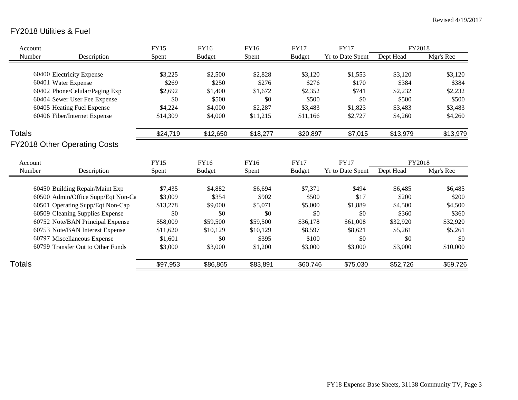## FY2018 Utilities & Fuel

| Account                             | <b>FY15</b> | FY16          | FY16     | <b>FY17</b>   | <b>FY17</b>             | FY2018    |           |
|-------------------------------------|-------------|---------------|----------|---------------|-------------------------|-----------|-----------|
| Number<br>Description               | Spent       | <b>Budget</b> | Spent    | <b>Budget</b> | <b>Yr to Date Spent</b> | Dept Head | Mgr's Rec |
|                                     |             |               |          |               |                         |           |           |
| 60400 Electricity Expense           | \$3,225     | \$2,500       | \$2,828  | \$3,120       | \$1,553                 | \$3,120   | \$3,120   |
| 60401 Water Expense                 | \$269       | \$250         | \$276    | \$276         | \$170                   | \$384     | \$384     |
| 60402 Phone/Celular/Paging Exp      | \$2,692     | \$1,400       | \$1,672  | \$2,352       | \$741                   | \$2,232   | \$2,232   |
| 60404 Sewer User Fee Expense        | \$0         | \$500         | \$0      | \$500         | \$0                     | \$500     | \$500     |
| 60405 Heating Fuel Expense          | \$4,224     | \$4,000       | \$2,287  | \$3,483       | \$1,823                 | \$3,483   | \$3,483   |
| 60406 Fiber/Internet Expense        | \$14,309    | \$4,000       | \$11,215 | \$11,166      | \$2,727                 | \$4,260   | \$4,260   |
| <b>Totals</b>                       | \$24,719    | \$12,650      | \$18,277 | \$20,897      | \$7,015                 | \$13,979  | \$13,979  |
| <b>FY2018 Other Operating Costs</b> |             |               |          |               |                         |           |           |
| Account                             | <b>FY15</b> | <b>FY16</b>   | FY16     | <b>FY17</b>   | <b>FY17</b>             | FY2018    |           |
| Number<br>Description               | Spent       | <b>Budget</b> | Spent    | <b>Budget</b> | <b>Yr to Date Spent</b> | Dept Head | Mgr's Rec |
|                                     |             |               |          |               |                         |           |           |
| 60450 Building Repair/Maint Exp     | \$7,435     | \$4,882       | \$6,694  | \$7,371       | \$494                   | \$6,485   | \$6,485   |
| 60500 Admin/Office Supp/Eqt Non-Ca  | \$3,009     | \$354         | \$902    | \$500         | \$17                    | \$200     | \$200     |
| 60501 Operating Supp/Eqt Non-Cap    | \$13,278    | \$9,000       | \$5,071  | \$5,000       | \$1,889                 | \$4,500   | \$4,500   |
| 60509 Cleaning Supplies Expense     | \$0         | \$0           | \$0      | \$0           | \$0                     | \$360     | \$360     |
| 60752 Note/BAN Principal Expense    | \$58,009    | \$59,500      | \$59,500 | \$36,178      | \$61,008                | \$32,920  | \$32,920  |
| 60753 Note/BAN Interest Expense     | \$11,620    | \$10,129      | \$10,129 | \$8,597       | \$8,621                 | \$5,261   | \$5,261   |
| 60797 Miscellaneous Expense         | \$1,601     | \$0           | \$395    | \$100         | \$0                     | \$0       | \$0       |
| 60799 Transfer Out to Other Funds   | \$3,000     | \$3,000       | \$1,200  | \$3,000       | \$3,000                 | \$3,000   | \$10,000  |
| <b>Totals</b>                       | \$97,953    | \$86,865      | \$83,891 | \$60,746      | \$75,030                | \$52,726  | \$59,726  |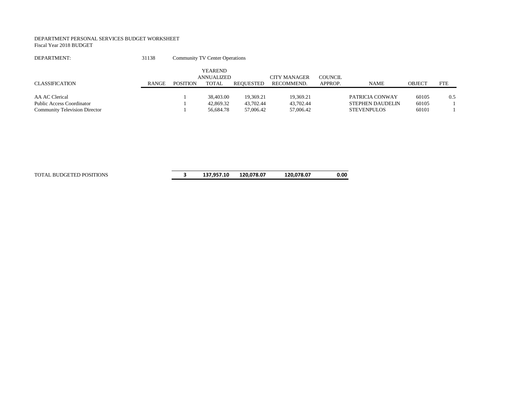#### DEPARTMENT PERSONAL SERVICES BUDGET WORKSHEET Fiscal Year 2018 BUDGET

| DEPARTMENT:                          | 31138        |                 | <b>Community TV Center Operations</b> |                  |              |         |                         |               |            |
|--------------------------------------|--------------|-----------------|---------------------------------------|------------------|--------------|---------|-------------------------|---------------|------------|
|                                      |              |                 | <b>YEAREND</b><br>ANNUALIZED          |                  | CITY MANAGER | COUNCIL |                         |               |            |
| <b>CLASSIFICATION</b>                | <b>RANGE</b> | <b>POSITION</b> | TOTAL                                 | <b>REOUESTED</b> | RECOMMEND.   | APPROP. | <b>NAME</b>             | <b>OBJECT</b> | <b>FTE</b> |
| AA AC Clerical                       |              |                 | 38,403.00                             | 19,369.21        | 19,369.21    |         | PATRICIA CONWAY         | 60105         | 0.5        |
| <b>Public Access Coordinator</b>     |              |                 | 42,869.32                             | 43,702.44        | 43.702.44    |         | <b>STEPHEN DAUDELIN</b> | 60105         |            |
| <b>Community Television Director</b> |              |                 | 56,684.78                             | 57,006.42        | 57,006.42    |         | <b>STEVENPULOS</b>      | 60101         |            |

TOTAL BUDGETED POSITIONS **3 137,957.10 120,078.07 120,078.07 0.00**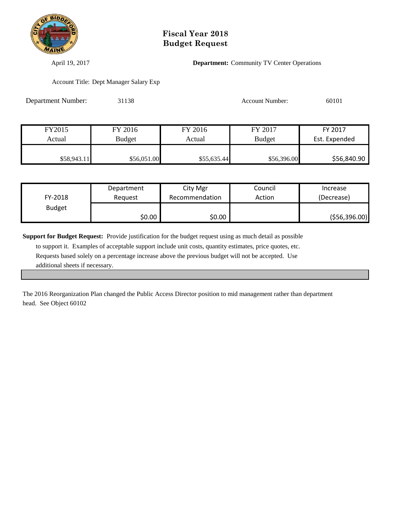

April 19, 2017 **Department:** Community TV Center Operations

Account Title: Dept Manager Salary Exp

| <b>Department Number:</b> | 31138         |             | <b>Account Number:</b> | 60101         |
|---------------------------|---------------|-------------|------------------------|---------------|
|                           |               |             |                        |               |
| FY2015                    | FY 2016       | FY 2016     | FY 2017                | FY 2017       |
| Actual                    | <b>Budget</b> | Actual      | <b>Budget</b>          | Est. Expended |
| \$58,943.11               | \$56,051.00   | \$55,635.44 | \$56,396.00            | \$56,840.90   |

|               | Department | City Mgr       | Council | Increase      |
|---------------|------------|----------------|---------|---------------|
| FY-2018       | Reauest    | Recommendation | Action  | (Decrease)    |
| <b>Budget</b> |            |                |         |               |
|               | \$0.00     | \$0.00         |         | (556, 396.00) |

**Support for Budget Request:** Provide justification for the budget request using as much detail as possible to support it. Examples of acceptable support include unit costs, quantity estimates, price quotes, etc.

 Requests based solely on a percentage increase above the previous budget will not be accepted. Use additional sheets if necessary.

The 2016 Reorganization Plan changed the Public Access Director position to mid management rather than department head. See Object 60102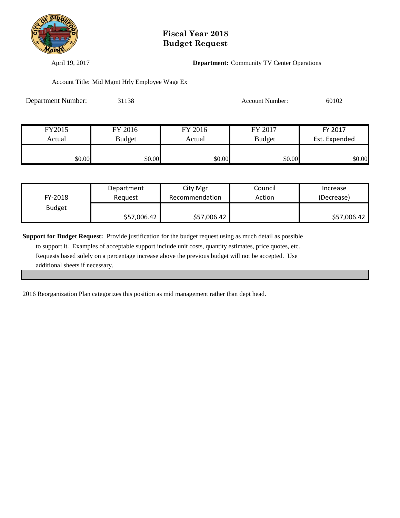

April 19, 2017 **Department:** Community TV Center Operations

Account Title: Mid Mgmt Hrly Employee Wage Ex

| <b>Department Number:</b> | 31138         |         | <b>Account Number:</b> | 60102         |
|---------------------------|---------------|---------|------------------------|---------------|
|                           |               |         |                        |               |
| FY2015                    | FY 2016       | FY 2016 | FY 2017                | FY 2017       |
| Actual                    | <b>Budget</b> | Actual  | <b>Budget</b>          | Est. Expended |
| \$0.00                    | \$0.00        | \$0.00  | \$0.00                 | \$0.00        |

|               | Department  | City Mgr       | Council | Increase    |
|---------------|-------------|----------------|---------|-------------|
| FY-2018       | Reauest     | Recommendation | Action  | (Decrease)  |
| <b>Budget</b> |             |                |         |             |
|               | \$57,006.42 | \$57,006.42    |         | \$57,006.42 |

**Support for Budget Request:** Provide justification for the budget request using as much detail as possible to support it. Examples of acceptable support include unit costs, quantity estimates, price quotes, etc. Requests based solely on a percentage increase above the previous budget will not be accepted. Use additional sheets if necessary.

2016 Reorganization Plan categorizes this position as mid management rather than dept head.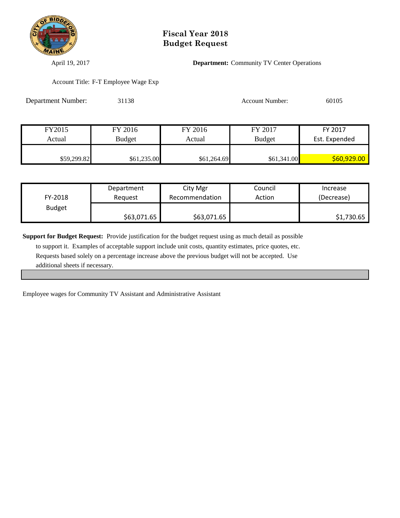

April 19, 2017 **Department:** Community TV Center Operations

Account Title: F-T Employee Wage Exp

| <b>Department Number:</b> | 31138         |             | <b>Account Number:</b> | 60105         |
|---------------------------|---------------|-------------|------------------------|---------------|
|                           |               |             |                        |               |
| FY2015                    | FY 2016       | FY 2016     | FY 2017                | FY 2017       |
| Actual                    | <b>Budget</b> | Actual      | <b>Budget</b>          | Est. Expended |
|                           |               |             |                        |               |
| \$59,299.82               | \$61,235.00   | \$61,264.69 | \$61,341.00            | \$60,929.00   |

|               | Department  | City Mgr       | Council | Increase   |
|---------------|-------------|----------------|---------|------------|
| FY-2018       | Reauest     | Recommendation | Action  | (Decrease) |
| <b>Budget</b> |             |                |         |            |
|               | \$63,071.65 | \$63,071.65    |         | \$1,730.65 |

**Support for Budget Request:** Provide justification for the budget request using as much detail as possible to support it. Examples of acceptable support include unit costs, quantity estimates, price quotes, etc. Requests based solely on a percentage increase above the previous budget will not be accepted. Use additional sheets if necessary.

Employee wages for Community TV Assistant and Administrative Assistant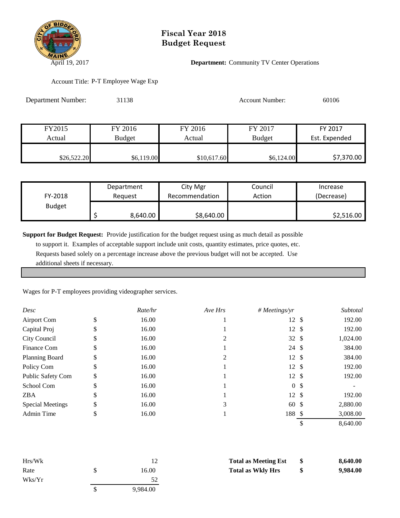

#### April 19, 2017 **Department:** Community TV Center Operations

Account Title: P-T Employee Wage Exp

| Department Number: | 31138         |             | <b>Account Number:</b> | 60106         |
|--------------------|---------------|-------------|------------------------|---------------|
|                    |               |             |                        |               |
| FY2015             | FY 2016       | FY 2016     | FY 2017                | FY 2017       |
| Actual             | <b>Budget</b> | Actual      | <b>Budget</b>          | Est. Expended |
| \$26,522.20        | \$6,119.00    | \$10,617.60 | \$6,124.00             | \$7,370.00    |

|               | Department | City Mgr       | Council | Increase   |
|---------------|------------|----------------|---------|------------|
| FY-2018       | Reauest    | Recommendation | Action  | (Decrease) |
| <b>Budget</b> |            |                |         |            |
|               | 8,640.00   | \$8,640.00     |         | \$2,516.00 |

**Support for Budget Request:** Provide justification for the budget request using as much detail as possible

 to support it. Examples of acceptable support include unit costs, quantity estimates, price quotes, etc. Requests based solely on a percentage increase above the previous budget will not be accepted. Use additional sheets if necessary.

Wages for P-T employees providing videographer services.

| Desc                     |    | Rate/hr | Ave Hrs | # Meetings/yr    | Subtotal |
|--------------------------|----|---------|---------|------------------|----------|
| Airport Com              | D  | 16.00   |         | $12 \text{ }$    | 192.00   |
| Capital Proj             |    | 16.00   |         | $12 \text{ }$    | 192.00   |
| City Council             |    | 16.00   | 2       | $32 \text{ }$    | 1,024.00 |
| Finance Com              | J  | 16.00   |         | 24 \$            | 384.00   |
| <b>Planning Board</b>    | \$ | 16.00   | 2       | $12 \text{ }$    | 384.00   |
| Policy Com               | \$ | 16.00   |         | $12 \text{ }$ \$ | 192.00   |
| <b>Public Safety Com</b> | S  | 16.00   |         | 12S              | 192.00   |
| School Com               | J  | 16.00   |         | 0 <sup>5</sup>   |          |
| <b>ZBA</b>               | J. | 16.00   |         | $12 \text{ }$    | 192.00   |
| <b>Special Meetings</b>  | Ф  | 16.00   | 3       | $60*$            | 2,880.00 |
| <b>Admin Time</b>        | D  | 16.00   |         | 188 \$           | 3,008.00 |
|                          |    |         |         |                  | 8,640.00 |

| Hrs/Wk       |    |          | <b>Total as Meeting Est</b> | -SS | 8,640.00 |
|--------------|----|----------|-----------------------------|-----|----------|
| Rate         | ъ. | 16.00    | <b>Total as Wkly Hrs</b>    | \$  | 9,984.00 |
| $W$ ks/ $Yr$ |    | 52       |                             |     |          |
|              |    | 9,984.00 |                             |     |          |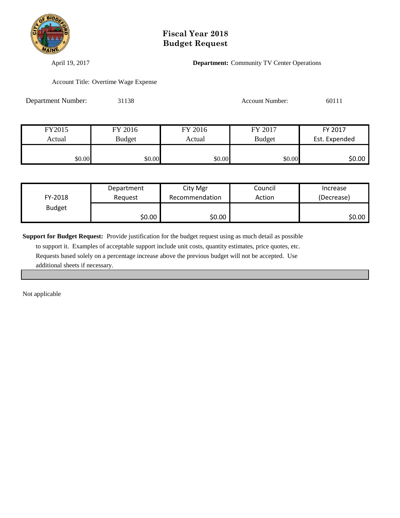

April 19, 2017 **Department:** Community TV Center Operations

Account Title: Overtime Wage Expense

| Department Number: | 31138         |         | <b>Account Number:</b> | 60111         |
|--------------------|---------------|---------|------------------------|---------------|
|                    |               |         |                        |               |
| FY2015             | FY 2016       | FY 2016 | FY 2017                | FY 2017       |
| Actual             | <b>Budget</b> | Actual  | <b>Budget</b>          | Est. Expended |
| \$0.00             | \$0.00        | \$0.00  | \$0.00                 | \$0.00        |

|               | Department | City Mgr       | Council | Increase   |
|---------------|------------|----------------|---------|------------|
| FY-2018       | Reauest    | Recommendation | Action  | (Decrease) |
| <b>Budget</b> |            |                |         |            |
|               | \$0.00     | \$0.00         |         | \$0.00     |

**Support for Budget Request:** Provide justification for the budget request using as much detail as possible

 to support it. Examples of acceptable support include unit costs, quantity estimates, price quotes, etc. Requests based solely on a percentage increase above the previous budget will not be accepted. Use additional sheets if necessary.

Not applicable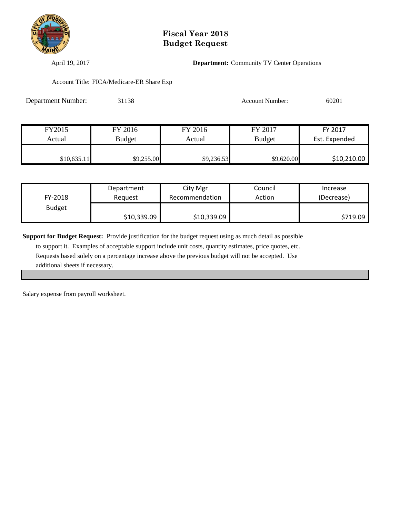

April 19, 2017 **Department:** Community TV Center Operations

Account Title: FICA/Medicare-ER Share Exp

| Department Number: | 31138         |            | <b>Account Number:</b> | 60201         |
|--------------------|---------------|------------|------------------------|---------------|
|                    |               |            |                        |               |
| FY2015             | FY 2016       | FY 2016    | FY 2017                | FY 2017       |
| Actual             | <b>Budget</b> | Actual     | <b>Budget</b>          | Est. Expended |
| \$10,635.11        | \$9,255.00    | \$9,236.53 | \$9,620.00             | \$10,210.00   |

|               | Department  | City Mgr       | Council | Increase   |
|---------------|-------------|----------------|---------|------------|
| FY-2018       | Reauest     | Recommendation | Action  | (Decrease) |
| <b>Budget</b> |             |                |         |            |
|               | \$10,339.09 | \$10,339.09    |         | \$719.09   |

**Support for Budget Request:** Provide justification for the budget request using as much detail as possible to support it. Examples of acceptable support include unit costs, quantity estimates, price quotes, etc. Requests based solely on a percentage increase above the previous budget will not be accepted. Use additional sheets if necessary.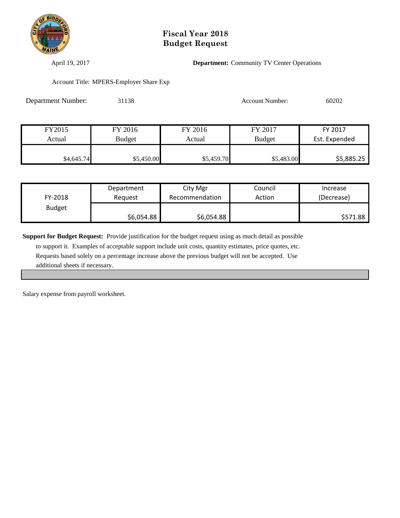

April 19, 2017 **Department:** Community TV Center Operations

Account Title: MPERS-Employer Share Exp

| <b>Department Number:</b> | 31138         |            | <b>Account Number:</b> | 60202         |
|---------------------------|---------------|------------|------------------------|---------------|
|                           |               |            |                        |               |
| FY2015                    | FY 2016       | FY 2016    | FY 2017                | FY 2017       |
| Actual                    | <b>Budget</b> | Actual     | <b>Budget</b>          | Est. Expended |
| \$4,645.74                | \$5,450.00    | \$5,459.70 | \$5,483.00             | \$5,885.25    |

|               | Department | City Mgr       | Council | Increase   |
|---------------|------------|----------------|---------|------------|
| FY-2018       | Reauest    | Recommendation | Action  | (Decrease) |
| <b>Budget</b> |            |                |         |            |
|               | \$6,054.88 | \$6,054.88     |         | \$571.88   |

**Support for Budget Request:** Provide justification for the budget request using as much detail as possible to support it. Examples of acceptable support include unit costs, quantity estimates, price quotes, etc. Requests based solely on a percentage increase above the previous budget will not be accepted. Use additional sheets if necessary.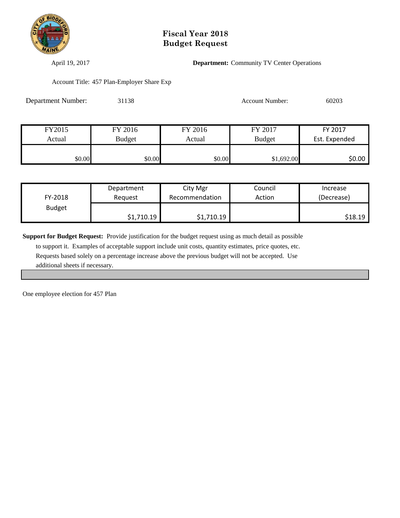

April 19, 2017 **Department:** Community TV Center Operations

Account Title: 457 Plan-Employer Share Exp

| Department Number: | 31138         |         | <b>Account Number:</b> | 60203         |
|--------------------|---------------|---------|------------------------|---------------|
|                    |               |         |                        |               |
| FY2015             | FY 2016       | FY 2016 | FY 2017                | FY 2017       |
| Actual             | <b>Budget</b> | Actual  | <b>Budget</b>          | Est. Expended |
| \$0.00             | \$0.00        | \$0.00  | \$1,692.00             | \$0.00        |

|               | Department | City Mgr                | Council | Increase   |
|---------------|------------|-------------------------|---------|------------|
| FY-2018       | Reauest    | Recommendation          | Action  | (Decrease) |
| <b>Budget</b> |            |                         |         |            |
|               | \$1,710.19 | $1,710.19$ $^{\bullet}$ |         | \$18.19    |

**Support for Budget Request:** Provide justification for the budget request using as much detail as possible to support it. Examples of acceptable support include unit costs, quantity estimates, price quotes, etc. Requests based solely on a percentage increase above the previous budget will not be accepted. Use

additional sheets if necessary.

One employee election for 457 Plan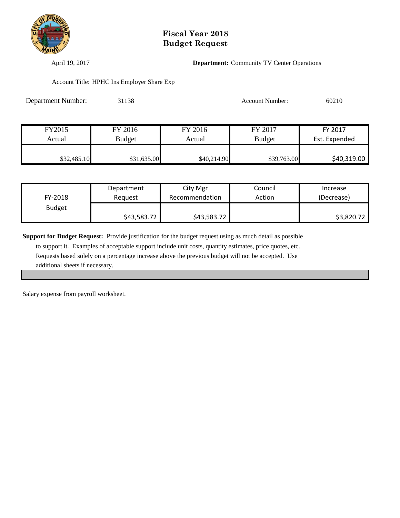

April 19, 2017 **Department:** Community TV Center Operations

Account Title: HPHC Ins Employer Share Exp

| Department Number: | 31138         |             | <b>Account Number:</b> | 60210         |  |
|--------------------|---------------|-------------|------------------------|---------------|--|
|                    |               |             |                        |               |  |
| FY2015             | FY 2016       | FY 2016     | FY 2017                | FY 2017       |  |
| Actual             | <b>Budget</b> | Actual      | <b>Budget</b>          | Est. Expended |  |
| \$32,485.10        | \$31,635.00   | \$40,214.90 | \$39,763.00            | \$40,319.00   |  |

|               | Department  | City Mgr       | Council | Increase   |
|---------------|-------------|----------------|---------|------------|
| FY-2018       | Reauest     | Recommendation | Action  | (Decrease) |
| <b>Budget</b> |             |                |         |            |
|               | \$43,583.72 | \$43,583.72    |         | \$3,820.72 |

**Support for Budget Request:** Provide justification for the budget request using as much detail as possible to support it. Examples of acceptable support include unit costs, quantity estimates, price quotes, etc. Requests based solely on a percentage increase above the previous budget will not be accepted. Use additional sheets if necessary.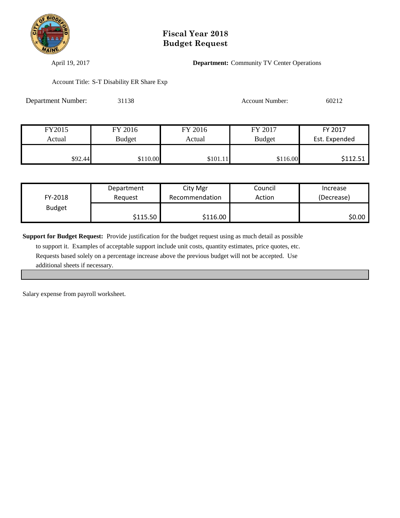

April 19, 2017 **Department:** Community TV Center Operations

Account Title: S-T Disability ER Share Exp

| <b>Department Number:</b> | 31138         |          | <b>Account Number:</b> | 60212         |
|---------------------------|---------------|----------|------------------------|---------------|
|                           |               |          |                        |               |
| FY2015                    | FY 2016       | FY 2016  | FY 2017                | FY 2017       |
| Actual                    | <b>Budget</b> | Actual   | <b>Budget</b>          | Est. Expended |
| \$92.44                   | \$110.00      | \$101.11 | \$116.00               | \$112.51      |

|               | Department | City Mgr       | Council | Increase   |
|---------------|------------|----------------|---------|------------|
| FY-2018       | Reauest    | Recommendation | Action  | (Decrease) |
| <b>Budget</b> |            |                |         |            |
|               | \$115.50   | \$116.00       |         | \$0.00     |

**Support for Budget Request:** Provide justification for the budget request using as much detail as possible to support it. Examples of acceptable support include unit costs, quantity estimates, price quotes, etc. Requests based solely on a percentage increase above the previous budget will not be accepted. Use additional sheets if necessary.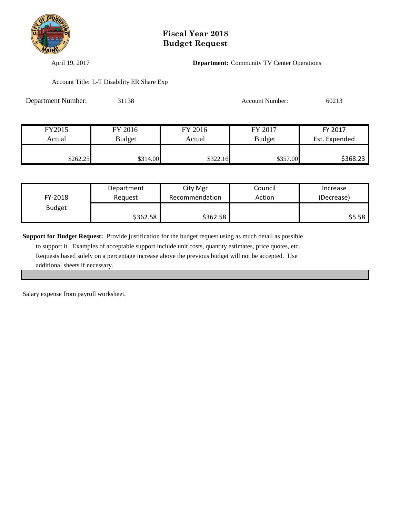

April 19, 2017 **Department:** Community TV Center Operations

Account Title: L-T Disability ER Share Exp

| <b>Department Number:</b> | 31138         |          | <b>Account Number:</b> | 60213         |
|---------------------------|---------------|----------|------------------------|---------------|
|                           |               |          |                        |               |
| FY2015                    | FY 2016       | FY 2016  | FY 2017                | FY 2017       |
| Actual                    | <b>Budget</b> | Actual   | <b>Budget</b>          | Est. Expended |
| \$262.25                  | \$314.00      | \$322.16 | \$357.00               | \$368.23      |

|               | Department | City Mgr       | Council | Increase   |
|---------------|------------|----------------|---------|------------|
| FY-2018       | Reauest    | Recommendation | Action  | (Decrease) |
| <b>Budget</b> |            |                |         |            |
|               | \$362.58   | \$362.58       |         | \$5.58     |

**Support for Budget Request:** Provide justification for the budget request using as much detail as possible to support it. Examples of acceptable support include unit costs, quantity estimates, price quotes, etc. Requests based solely on a percentage increase above the previous budget will not be accepted. Use additional sheets if necessary.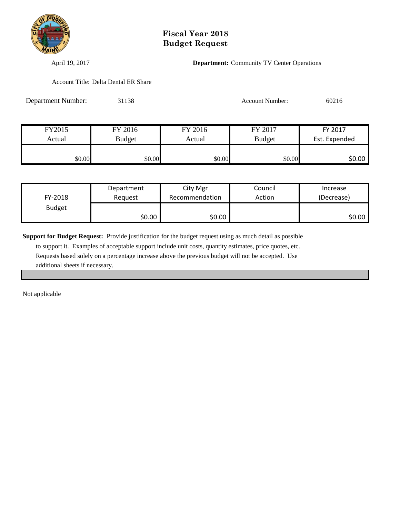

April 19, 2017 **Department:** Community TV Center Operations

Account Title: Delta Dental ER Share

| <b>Department Number:</b> | 31138         |         | <b>Account Number:</b> | 60216         |  |
|---------------------------|---------------|---------|------------------------|---------------|--|
|                           |               |         |                        |               |  |
| FY2015                    | FY 2016       | FY 2016 | FY 2017                | FY 2017       |  |
| Actual                    | <b>Budget</b> | Actual  | <b>Budget</b>          | Est. Expended |  |
| \$0.00                    | \$0.00        | \$0.00  | \$0.00                 | \$0.00        |  |

|               | Department | City Mgr       | Council | Increase   |
|---------------|------------|----------------|---------|------------|
| FY-2018       | Reauest    | Recommendation | Action  | (Decrease) |
| <b>Budget</b> |            |                |         |            |
|               | \$0.00     | \$0.00∣        |         | \$0.00     |

**Support for Budget Request:** Provide justification for the budget request using as much detail as possible

 to support it. Examples of acceptable support include unit costs, quantity estimates, price quotes, etc. Requests based solely on a percentage increase above the previous budget will not be accepted. Use additional sheets if necessary.

Not applicable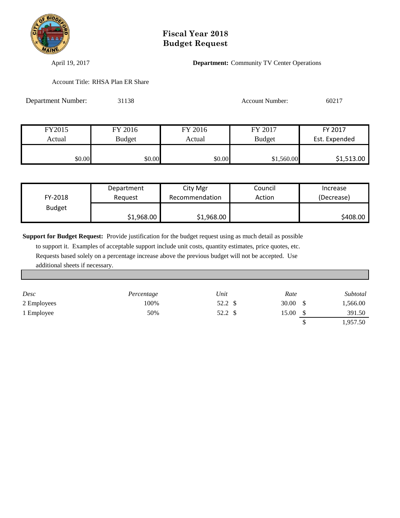

April 19, 2017 **Department:** Community TV Center Operations

Account Title: RHSA Plan ER Share

| <b>Department Number:</b> | 31138         |         | <b>Account Number:</b> | 60217         |
|---------------------------|---------------|---------|------------------------|---------------|
|                           |               |         |                        |               |
| FY2015                    | FY 2016       | FY 2016 | FY 2017                | FY 2017       |
| Actual                    | <b>Budget</b> | Actual  | <b>Budget</b>          | Est. Expended |
| \$0.00                    | \$0.00        | \$0.00  | \$1,560.00             | \$1,513.00    |

|               | Department | City Mgr       | Council | Increase   |
|---------------|------------|----------------|---------|------------|
| FY-2018       | Reauest    | Recommendation | Action  | (Decrease) |
| <b>Budget</b> |            |                |         |            |
|               | \$1,968.00 | \$1,968.00     |         | \$408.00   |

**Support for Budget Request:** Provide justification for the budget request using as much detail as possible

 to support it. Examples of acceptable support include unit costs, quantity estimates, price quotes, etc. Requests based solely on a percentage increase above the previous budget will not be accepted. Use additional sheets if necessary.

| Desc        | Percentage | Unit    | Rate  | Subtotal |
|-------------|------------|---------|-------|----------|
| 2 Employees | 100%       | 52.2 \$ | 30.00 | 1,566.00 |
| 1 Employee  | 50%        | 52.2    | 15.00 | 391.50   |
|             |            |         |       | 1,957.50 |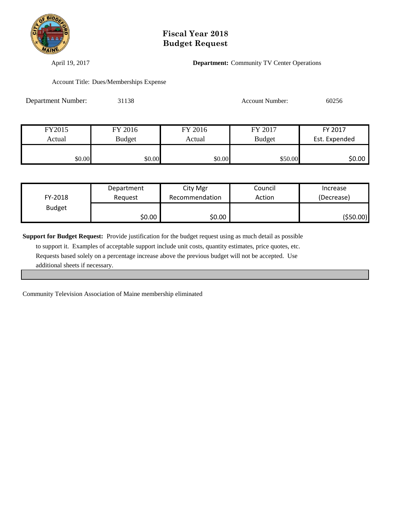

April 19, 2017 **Department:** Community TV Center Operations

Account Title: Dues/Memberships Expense

| <b>Department Number:</b> | 31138         |         | <b>Account Number:</b> | 60256         |
|---------------------------|---------------|---------|------------------------|---------------|
|                           |               |         |                        |               |
| FY2015                    | FY 2016       | FY 2016 | FY 2017                | FY 2017       |
| Actual                    | <b>Budget</b> | Actual  | <b>Budget</b>          | Est. Expended |
| \$0.00                    | \$0.00        | \$0.00  | \$50.00                | \$0.00        |

|               | Department | City Mgr       | Council | Increase   |
|---------------|------------|----------------|---------|------------|
| FY-2018       | Reauest    | Recommendation | Action  | (Decrease) |
| <b>Budget</b> |            |                |         |            |
|               | \$0.00     | \$0.00         |         | (\$50.00)  |

**Support for Budget Request:** Provide justification for the budget request using as much detail as possible to support it. Examples of acceptable support include unit costs, quantity estimates, price quotes, etc. Requests based solely on a percentage increase above the previous budget will not be accepted. Use additional sheets if necessary.

Community Television Association of Maine membership eliminated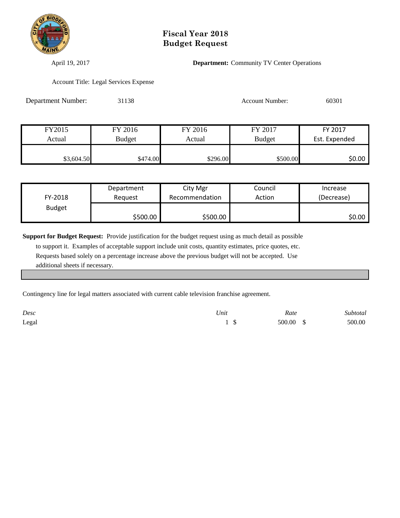

April 19, 2017 **Department:** Community TV Center Operations

Account Title: Legal Services Expense

| <b>Department Number:</b> | 31138         |          | <b>Account Number:</b> | 60301         |
|---------------------------|---------------|----------|------------------------|---------------|
|                           |               |          |                        |               |
| FY2015                    | FY 2016       | FY 2016  | FY 2017                | FY 2017       |
| Actual                    | <b>Budget</b> | Actual   | <b>Budget</b>          | Est. Expended |
| \$3,604.50                | \$474.00      | \$296.00 | \$500.00               | \$0.00        |

|               | Department | City Mgr       | Council | Increase   |
|---------------|------------|----------------|---------|------------|
| FY-2018       | Reauest    | Recommendation | Action  | (Decrease) |
| <b>Budget</b> |            |                |         |            |
|               | \$500.00   | \$500.00       |         | \$0.00     |

**Support for Budget Request:** Provide justification for the budget request using as much detail as possible to support it. Examples of acceptable support include unit costs, quantity estimates, price quotes, etc. Requests based solely on a percentage increase above the previous budget will not be accepted. Use additional sheets if necessary.

Contingency line for legal matters associated with current cable television franchise agreement.

| Desc  | Unit | Rate      | Subtotal |
|-------|------|-----------|----------|
| Legal |      | 500.00 \$ | 500.00   |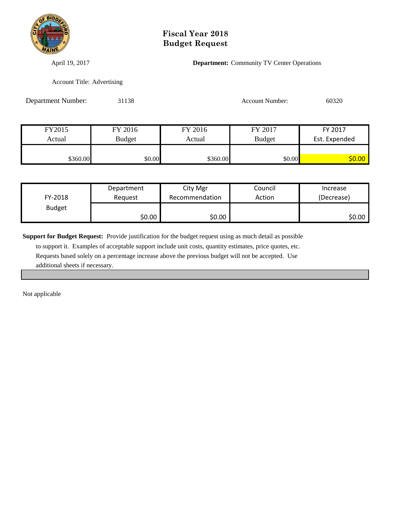

April 19, 2017 **Department:** Community TV Center Operations

Account Title: Advertising

| <b>Department Number:</b> | 31138         |          | <b>Account Number:</b> | 60320         |
|---------------------------|---------------|----------|------------------------|---------------|
|                           |               |          |                        |               |
| FY2015                    | FY 2016       | FY 2016  | FY 2017                | FY 2017       |
| Actual                    | <b>Budget</b> | Actual   | <b>Budget</b>          | Est. Expended |
|                           |               |          |                        |               |
| \$360.00                  | \$0.00        | \$360.00 | \$0.00                 | \$0.00        |

|               | Department | City Mgr       | Council | Increase   |
|---------------|------------|----------------|---------|------------|
| FY-2018       | Reauest    | Recommendation | Action  | (Decrease) |
| <b>Budget</b> |            |                |         |            |
|               | \$0.00     | \$0.00         |         | \$0.00     |

**Support for Budget Request:** Provide justification for the budget request using as much detail as possible

 to support it. Examples of acceptable support include unit costs, quantity estimates, price quotes, etc. Requests based solely on a percentage increase above the previous budget will not be accepted. Use additional sheets if necessary.

Not applicable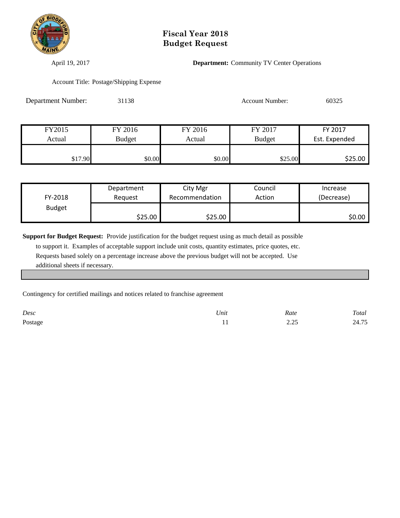

April 19, 2017 **Department:** Community TV Center Operations

Account Title: Postage/Shipping Expense

| <b>Department Number:</b> | 31138         |         | <b>Account Number:</b> | 60325         |
|---------------------------|---------------|---------|------------------------|---------------|
|                           |               |         |                        |               |
| FY2015                    | FY 2016       | FY 2016 | FY 2017                | FY 2017       |
| Actual                    | <b>Budget</b> | Actual  | <b>Budget</b>          | Est. Expended |
| \$17.90                   | \$0.00        | \$0.00  | \$25.00                | \$25.00       |

|               | Department | City Mgr       | Council | Increase   |
|---------------|------------|----------------|---------|------------|
| FY-2018       | Reauest    | Recommendation | Action  | (Decrease) |
| <b>Budget</b> |            |                |         |            |
|               | \$25.00    | \$25.00        |         | \$0.00     |

**Support for Budget Request:** Provide justification for the budget request using as much detail as possible to support it. Examples of acceptable support include unit costs, quantity estimates, price quotes, etc. Requests based solely on a percentage increase above the previous budget will not be accepted. Use additional sheets if necessary.

Contingency for certified mailings and notices related to franchise agreement

| Desc    | Unit<br>- - - - - | Rate           | Total |
|---------|-------------------|----------------|-------|
| Postage |                   | ر ے ، ب<br>___ | 24.75 |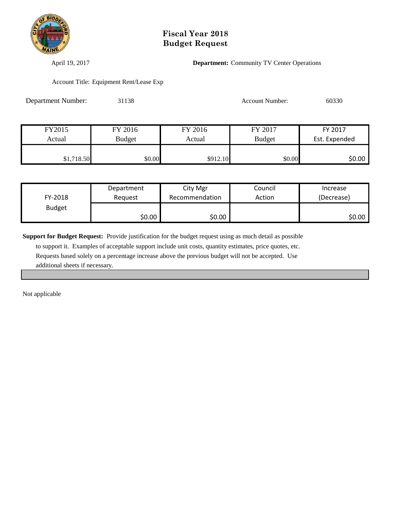

April 19, 2017 **Department:** Community TV Center Operations

Account Title: Equipment Rent/Lease Exp

| <b>Department Number:</b> | 31138         |          | <b>Account Number:</b> | 60330         |
|---------------------------|---------------|----------|------------------------|---------------|
|                           |               |          |                        |               |
| FY2015                    | FY 2016       | FY 2016  | FY 2017                | FY 2017       |
| Actual                    | <b>Budget</b> | Actual   | <b>Budget</b>          | Est. Expended |
| \$1,718.50                | \$0.00        | \$912.10 | \$0.00                 | \$0.00        |

|               | Department | City Mgr       | Council | Increase   |
|---------------|------------|----------------|---------|------------|
| FY-2018       | Reauest    | Recommendation | Action  | (Decrease) |
| <b>Budget</b> |            |                |         |            |
|               | \$0.00     | \$0.00         |         | \$0.00     |

**Support for Budget Request:** Provide justification for the budget request using as much detail as possible

 to support it. Examples of acceptable support include unit costs, quantity estimates, price quotes, etc. Requests based solely on a percentage increase above the previous budget will not be accepted. Use additional sheets if necessary.

Not applicable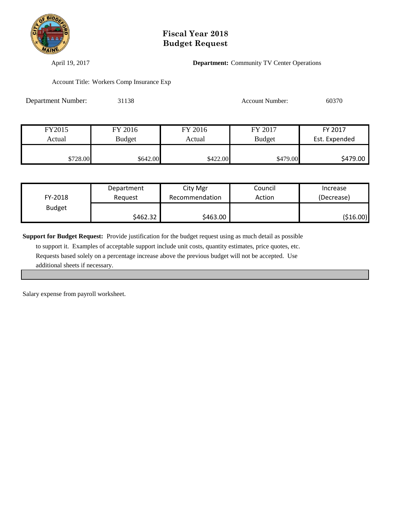

April 19, 2017 **Department:** Community TV Center Operations

Account Title: Workers Comp Insurance Exp

| Department Number: | 31138         |          | <b>Account Number:</b> | 60370         |
|--------------------|---------------|----------|------------------------|---------------|
|                    |               |          |                        |               |
| FY2015             | FY 2016       | FY 2016  | FY 2017                | FY 2017       |
| Actual             | <b>Budget</b> | Actual   | <b>Budget</b>          | Est. Expended |
| \$728.00           | \$642.00      | \$422.00 | \$479.00               | \$479.00      |

|               | Department | City Mgr       | Council | Increase   |
|---------------|------------|----------------|---------|------------|
| FY-2018       | Reauest    | Recommendation | Action  | (Decrease) |
| <b>Budget</b> |            |                |         |            |
|               | \$462.32   | \$463.00       |         | ( \$16.00) |

**Support for Budget Request:** Provide justification for the budget request using as much detail as possible to support it. Examples of acceptable support include unit costs, quantity estimates, price quotes, etc. Requests based solely on a percentage increase above the previous budget will not be accepted. Use additional sheets if necessary.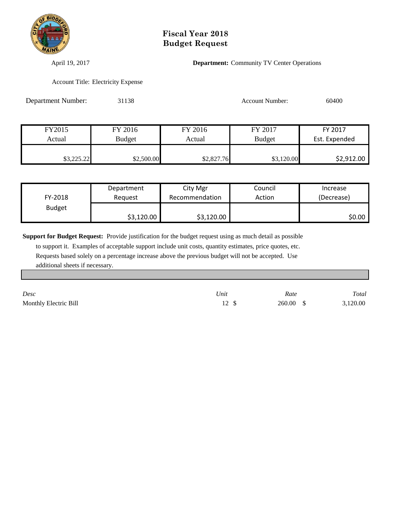

April 19, 2017 **Department:** Community TV Center Operations

Account Title: Electricity Expense

| Department Number: | 31138         |            | <b>Account Number:</b> | 60400         |
|--------------------|---------------|------------|------------------------|---------------|
|                    |               |            |                        |               |
| FY2015             | FY 2016       | FY 2016    | FY 2017                | FY 2017       |
| Actual             | <b>Budget</b> | Actual     | <b>Budget</b>          | Est. Expended |
| \$3,225.22         | \$2,500.00    | \$2,827.76 | \$3,120.00             | \$2,912.00    |

|               | Department | City Mgr       | Council | Increase   |
|---------------|------------|----------------|---------|------------|
| FY-2018       | Reauest    | Recommendation | Action  | (Decrease) |
| <b>Budget</b> |            |                |         |            |
|               | \$3,120.00 | \$3,120.00     |         | \$0.00     |

**Support for Budget Request:** Provide justification for the budget request using as much detail as possible to support it. Examples of acceptable support include unit costs, quantity estimates, price quotes, etc.

 Requests based solely on a percentage increase above the previous budget will not be accepted. Use additional sheets if necessary.

| Desc                  | Unit | Rate              | Total    |
|-----------------------|------|-------------------|----------|
| Monthly Electric Bill |      | $260.00 \quad$ \$ | 3,120.00 |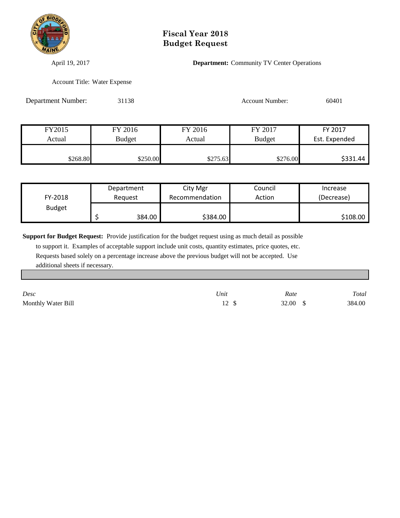

April 19, 2017 **Department:** Community TV Center Operations

Account Title: Water Expense

| Department Number: | 31138         |          | <b>Account Number:</b> | 60401         |
|--------------------|---------------|----------|------------------------|---------------|
|                    |               |          |                        |               |
| FY2015             | FY 2016       | FY 2016  | FY 2017                | FY 2017       |
| Actual             | <b>Budget</b> | Actual   | <b>Budget</b>          | Est. Expended |
| \$268.80           | \$250.00      | \$275.63 | \$276.00               | \$331.44      |

|               | Department | City Mgr       | Council | Increase   |
|---------------|------------|----------------|---------|------------|
| FY-2018       | Reauest    | Recommendation | Action  | (Decrease) |
| <b>Budget</b> |            |                |         |            |
|               | 384.00     | \$384.00       |         | \$108.00   |

**Support for Budget Request:** Provide justification for the budget request using as much detail as possible

 to support it. Examples of acceptable support include unit costs, quantity estimates, price quotes, etc. Requests based solely on a percentage increase above the previous budget will not be accepted. Use additional sheets if necessary.

| Desc               | Unit | Rate                | Total  |
|--------------------|------|---------------------|--------|
| Monthly Water Bill |      | 32.00 $\frac{1}{2}$ | 384.00 |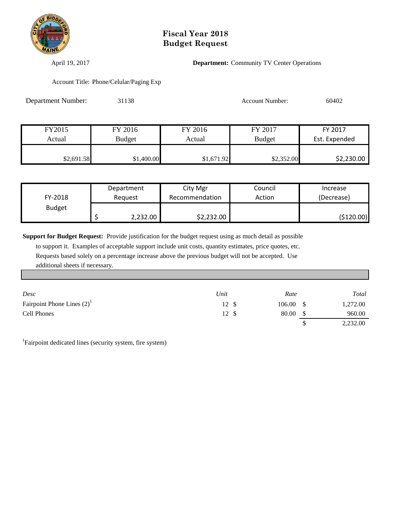

April 19, 2017 **Department:** Community TV Center Operations

Account Title: Phone/Celular/Paging Exp

| <b>Department Number:</b> | 31138         |            | <b>Account Number:</b> | 60402         |
|---------------------------|---------------|------------|------------------------|---------------|
|                           |               |            |                        |               |
| FY2015                    | FY 2016       | FY 2016    | FY 2017                | FY 2017       |
| Actual                    | <b>Budget</b> | Actual     | <b>Budget</b>          | Est. Expended |
| \$2,691.58                | \$1,400.00    | \$1,671.92 | \$2,352.00             | \$2,230.00    |

|               | Department | City Mgr       | Council | Increase    |
|---------------|------------|----------------|---------|-------------|
| FY-2018       | Reauest    | Recommendation | Action  | (Decrease)  |
| <b>Budget</b> |            |                |         |             |
|               | 2,232.00   | \$2,232.00     |         | ( \$120.00) |

**Support for Budget Request:** Provide justification for the budget request using as much detail as possible to support it. Examples of acceptable support include unit costs, quantity estimates, price quotes, etc. Requests based solely on a percentage increase above the previous budget will not be accepted. Use additional sheets if necessary.

| Desc                            | Unit  | Rate              | Total    |
|---------------------------------|-------|-------------------|----------|
| Fairpoint Phone Lines $(2)^{1}$ | 12 \$ | $106.00 \quad$ \$ | 1,272.00 |
| <b>Cell Phones</b>              | 12 \$ | 80.00             | 960.00   |
|                                 |       |                   | 2,232.00 |

<sup>1</sup>Fairpoint dedicated lines (security system, fire system)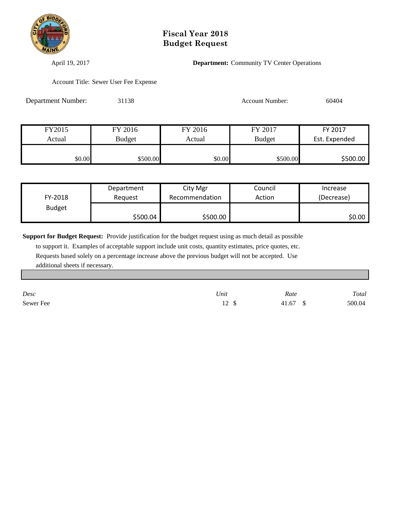

April 19, 2017 **Department:** Community TV Center Operations

Account Title: Sewer User Fee Expense

| Department Number: | 31138         |         | 60404<br><b>Account Number:</b> |               |
|--------------------|---------------|---------|---------------------------------|---------------|
|                    |               |         |                                 |               |
| FY2015             | FY 2016       | FY 2016 | FY 2017                         | FY 2017       |
| Actual             | <b>Budget</b> | Actual  | <b>Budget</b>                   | Est. Expended |
| \$0.00             | \$500.00      | \$0.00  | \$500.00                        | \$500.00      |

|               | Department | City Mgr       | Council | Increase   |
|---------------|------------|----------------|---------|------------|
| FY-2018       | Reauest    | Recommendation | Action  | (Decrease) |
| <b>Budget</b> |            |                |         |            |
|               | \$500.04   | \$500.00       |         | \$0.00     |

**Support for Budget Request:** Provide justification for the budget request using as much detail as possible

 to support it. Examples of acceptable support include unit costs, quantity estimates, price quotes, etc. Requests based solely on a percentage increase above the previous budget will not be accepted. Use additional sheets if necessary.

| Desc      | Unit           | Rate     | Total  |
|-----------|----------------|----------|--------|
| Sewer Fee | 12 \$<br>$\pm$ | 41.67 \$ | 500.04 |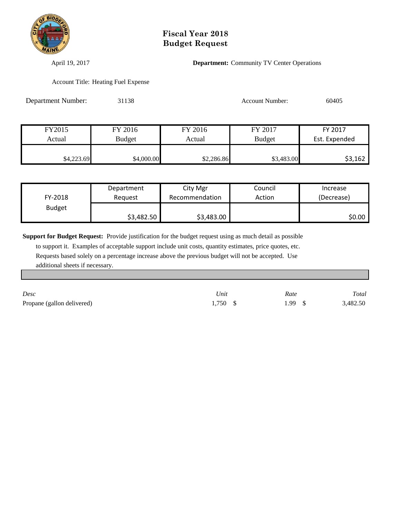

April 19, 2017 **Department:** Community TV Center Operations

Account Title: Heating Fuel Expense

| Department Number: | 31138         |            | <b>Account Number:</b> | 60405         |
|--------------------|---------------|------------|------------------------|---------------|
|                    |               |            |                        |               |
| FY2015             | FY 2016       | FY 2016    | FY 2017                | FY 2017       |
| Actual             | <b>Budget</b> | Actual     | <b>Budget</b>          | Est. Expended |
| \$4,223.69         | \$4,000.00    | \$2,286.86 | \$3,483.00             | \$3,162       |

|               | Department | City Mgr       | Council | Increase   |
|---------------|------------|----------------|---------|------------|
| FY-2018       | Reauest    | Recommendation | Action  | (Decrease) |
| <b>Budget</b> |            |                |         |            |
|               | \$3,482.50 | \$3,483.00     |         | \$0.00     |

**Support for Budget Request:** Provide justification for the budget request using as much detail as possible

 to support it. Examples of acceptable support include unit costs, quantity estimates, price quotes, etc. Requests based solely on a percentage increase above the previous budget will not be accepted. Use additional sheets if necessary.

| Desc                       | Unit       | Rate  | Total    |
|----------------------------|------------|-------|----------|
| Propane (gallon delivered) | $1,750$ \$ | 1.99S | 3,482.50 |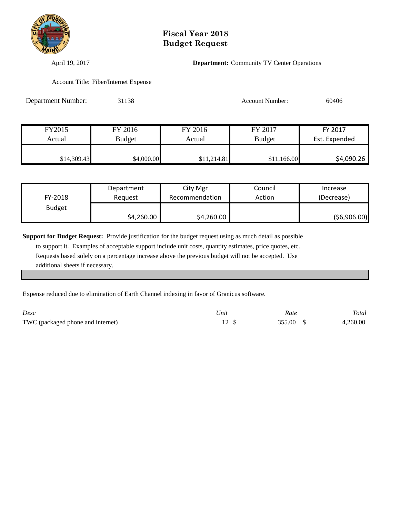

April 19, 2017 **Department:** Community TV Center Operations

Account Title: Fiber/Internet Expense

| Department Number: | 31138         |             | <b>Account Number:</b> | 60406         |
|--------------------|---------------|-------------|------------------------|---------------|
|                    |               |             |                        |               |
| FY2015             | FY 2016       | FY 2016     | FY 2017                | FY 2017       |
| Actual             | <b>Budget</b> | Actual      | <b>Budget</b>          | Est. Expended |
| \$14,309.43        | \$4,000.00    | \$11,214.81 | \$11,166.00            | \$4,090.26    |

|               | Department | City Mgr       | Council | Increase    |
|---------------|------------|----------------|---------|-------------|
| FY-2018       | Reauest    | Recommendation | Action  | (Decrease)  |
| <b>Budget</b> |            |                |         |             |
|               | \$4,260.00 | \$4,260.00     |         | (56,906.00) |

**Support for Budget Request:** Provide justification for the budget request using as much detail as possible to support it. Examples of acceptable support include unit costs, quantity estimates, price quotes, etc. Requests based solely on a percentage increase above the previous budget will not be accepted. Use additional sheets if necessary.

Expense reduced due to elimination of Earth Channel indexing in favor of Granicus software.

| Desc                              | <sup>1</sup> Jnit | Rate   | Total    |
|-----------------------------------|-------------------|--------|----------|
| TWC (packaged phone and internet) |                   | 355.00 | 4.260.00 |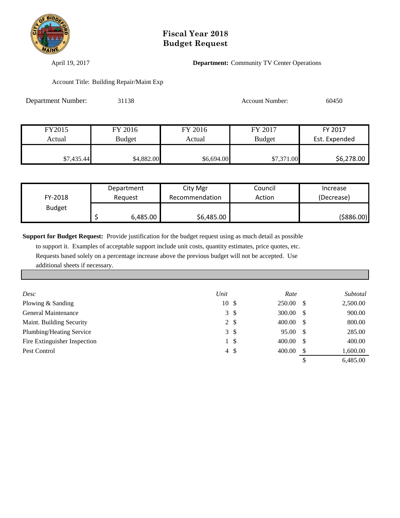

April 19, 2017 **Department:** Community TV Center Operations

Account Title: Building Repair/Maint Exp

| Department Number: | 31138         | <b>Account Number:</b> |               | 60450         |
|--------------------|---------------|------------------------|---------------|---------------|
|                    |               |                        |               |               |
| FY2015             | FY 2016       | FY 2016                | FY 2017       | FY 2017       |
| Actual             | <b>Budget</b> | Actual                 | <b>Budget</b> | Est. Expended |
| \$7,435.44         | \$4,882.00    | \$6,694.00             | \$7,371.00    | \$6,278.00    |

|               | Department | City Mgr       | Council | Increase    |
|---------------|------------|----------------|---------|-------------|
| FY-2018       | Reauest    | Recommendation | Action  | (Decrease)  |
| <b>Budget</b> |            |                |         |             |
|               | 6,485.00   | \$6,485.00     |         | ( \$886.00) |

**Support for Budget Request:** Provide justification for the budget request using as much detail as possible

 to support it. Examples of acceptable support include unit costs, quantity estimates, price quotes, etc. Requests based solely on a percentage increase above the previous budget will not be accepted. Use additional sheets if necessary.

| Desc                         | Unit  |                | Rate   |      | Subtotal |
|------------------------------|-------|----------------|--------|------|----------|
| Plowing & Sanding            | 10 \$ |                | 250.00 | - \$ | 2,500.00 |
| General Maintenance          |       | $3 \sqrt{3}$   | 300.00 | - \$ | 900.00   |
| Maint. Building Security     |       | $2 \sqrt{3}$   | 400.00 | - \$ | 800.00   |
| Plumbing/Heating Service     |       | $3 \sqrt{3}$   | 95.00  | - \$ | 285.00   |
| Fire Extinguisher Inspection | 1     | <sup>\$</sup>  | 400.00 | - \$ | 400.00   |
| Pest Control                 |       | $4\frac{1}{2}$ | 400.00 |      | 1,600.00 |
|                              |       |                |        |      | 6.485.00 |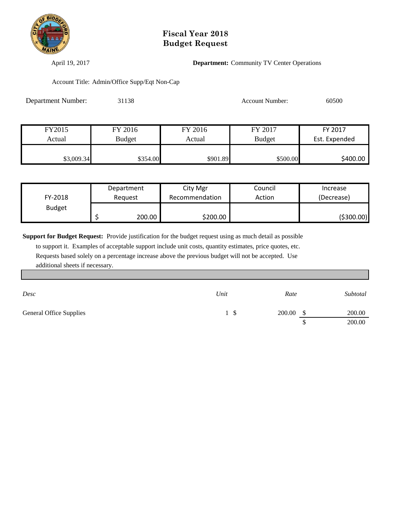

April 19, 2017 **Department:** Community TV Center Operations

Account Title: Admin/Office Supp/Eqt Non-Cap

| <b>Department Number:</b> | 31138         |          | <b>Account Number:</b> | 60500         |
|---------------------------|---------------|----------|------------------------|---------------|
|                           |               |          |                        |               |
| FY2015                    | FY 2016       | FY 2016  | FY 2017                | FY 2017       |
| Actual                    | <b>Budget</b> | Actual   | <b>Budget</b>          | Est. Expended |
| \$3,009.34                | \$354.00      | \$901.89 | \$500.00               | \$400.00      |

|               | Department | City Mgr       | Council | Increase   |
|---------------|------------|----------------|---------|------------|
| FY-2018       | Reauest    | Recommendation | Action  | (Decrease) |
| <b>Budget</b> |            |                |         |            |
|               | 200.00     | \$200.00       |         | (\$300.00) |

**Support for Budget Request:** Provide justification for the budget request using as much detail as possible

 to support it. Examples of acceptable support include unit costs, quantity estimates, price quotes, etc. Requests based solely on a percentage increase above the previous budget will not be accepted. Use additional sheets if necessary.

| Desc                    | Unit | Rate   |     | Subtotal |
|-------------------------|------|--------|-----|----------|
| General Office Supplies | . SI | 200.00 | -\$ | 200.00   |
|                         |      |        |     | 200.00   |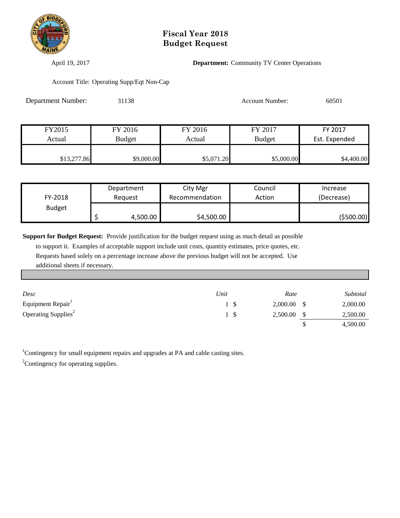

April 19, 2017 **Department:** Community TV Center Operations

Account Title: Operating Supp/Eqt Non-Cap

| Department Number: | 31138         | <b>Account Number:</b> |               | 60501         |
|--------------------|---------------|------------------------|---------------|---------------|
|                    |               |                        |               |               |
| FY2015             | FY 2016       | FY 2016                | FY 2017       | FY 2017       |
| Actual             | <b>Budget</b> | Actual                 | <b>Budget</b> | Est. Expended |
| \$13,277.86        | \$9,000.00    | \$5,071.20             | \$5,000.00    | \$4,400.00    |

|               | Department | City Mgr       | Council | Increase   |
|---------------|------------|----------------|---------|------------|
| FY-2018       | Reauest    | Recommendation | Action  | (Decrease) |
| <b>Budget</b> |            |                |         |            |
|               | 4,500.00   | \$4,500.00     |         | (\$500.00) |

**Support for Budget Request:** Provide justification for the budget request using as much detail as possible to support it. Examples of acceptable support include unit costs, quantity estimates, price quotes, etc. Requests based solely on a percentage increase above the previous budget will not be accepted. Use additional sheets if necessary.

| Desc                            | Unit | Rate     | Subtotal |
|---------------------------------|------|----------|----------|
| Equipment Repair                |      | 2,000.00 | 2,000.00 |
| Operating Supplies <sup>2</sup> |      | 2,500.00 | 2,500.00 |
|                                 |      |          | 4,500.00 |

<sup>1</sup>Contingency for small equipment repairs and upgrades at PA and cable casting sites.

<sup>2</sup>Contingency for operating supplies.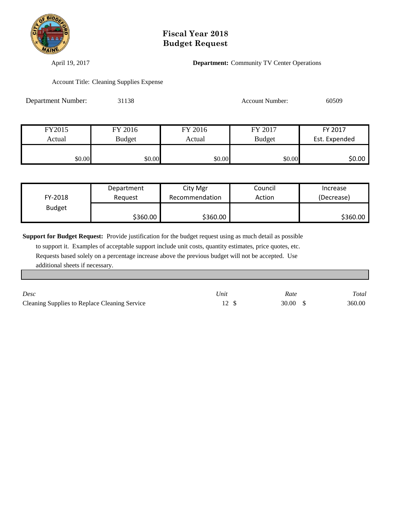

April 19, 2017 **Department:** Community TV Center Operations

Account Title: Cleaning Supplies Expense

| Department Number: | 31138         |         | <b>Account Number:</b> | 60509         |
|--------------------|---------------|---------|------------------------|---------------|
|                    |               |         |                        |               |
| FY2015             | FY 2016       | FY 2016 | FY 2017                | FY 2017       |
| Actual             | <b>Budget</b> | Actual  | <b>Budget</b>          | Est. Expended |
| \$0.00             | \$0.00        | \$0.00  | \$0.00                 | \$0.00        |

|               | Department | City Mgr       | Council | Increase   |
|---------------|------------|----------------|---------|------------|
| FY-2018       | Reauest    | Recommendation | Action  | (Decrease) |
| <b>Budget</b> |            |                |         |            |
|               | \$360.00   | \$360.00       |         | \$360.00   |

**Support for Budget Request:** Provide justification for the budget request using as much detail as possible to support it. Examples of acceptable support include unit costs, quantity estimates, price quotes, etc. Requests based solely on a percentage increase above the previous budget will not be accepted. Use

additional sheets if necessary.

| Desc                                          | Unit | Rate    | Total  |
|-----------------------------------------------|------|---------|--------|
| Cleaning Supplies to Replace Cleaning Service |      | 30.00 S | 360.00 |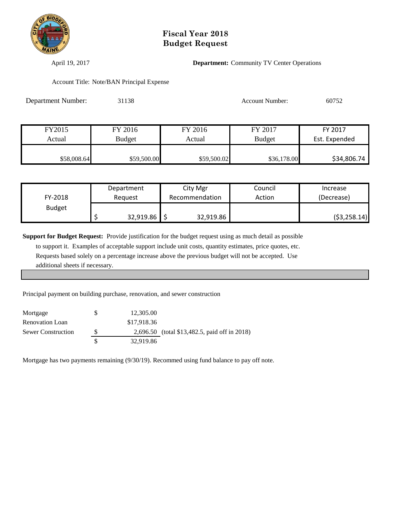

April 19, 2017 **Department:** Community TV Center Operations

Account Title: Note/BAN Principal Expense

| Department Number: | 31138         |             | <b>Account Number:</b> | 60752         |
|--------------------|---------------|-------------|------------------------|---------------|
|                    |               |             |                        |               |
| FY2015             | FY 2016       | FY 2016     | FY 2017                | FY 2017       |
| Actual             | <b>Budget</b> | Actual      | <b>Budget</b>          | Est. Expended |
| \$58,008.64        | \$59,500.00   | \$59,500.02 | \$36,178.00            | \$34,806.74   |

|               | Department | City Mgr       | Council | Increase     |
|---------------|------------|----------------|---------|--------------|
| FY-2018       | Reauest    | Recommendation | Action  | (Decrease)   |
| <b>Budget</b> |            |                |         |              |
|               | 32,919.86  | 32,919.86      |         | (53, 258.14) |

**Support for Budget Request:** Provide justification for the budget request using as much detail as possible

 to support it. Examples of acceptable support include unit costs, quantity estimates, price quotes, etc. Requests based solely on a percentage increase above the previous budget will not be accepted. Use additional sheets if necessary.

Principal payment on building purchase, renovation, and sewer construction

| Mortgage                  | S | 12,305.00   |                                               |
|---------------------------|---|-------------|-----------------------------------------------|
| <b>Renovation Loan</b>    |   | \$17,918.36 |                                               |
| <b>Sewer Construction</b> | S |             | 2,696.50 (total \$13,482.5, paid off in 2018) |
|                           |   | 32,919.86   |                                               |

Mortgage has two payments remaining (9/30/19). Recommed using fund balance to pay off note.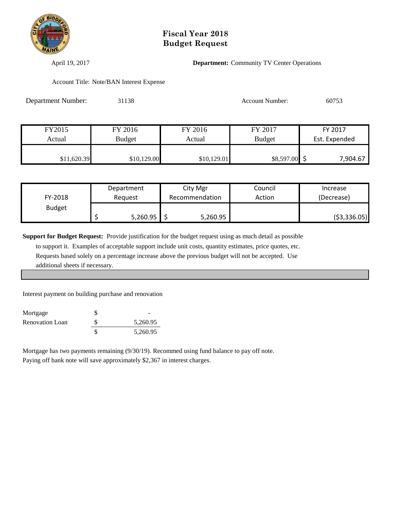

April 19, 2017 **Department:** Community TV Center Operations

Account Title: Note/BAN Interest Expense

| <b>Department Number:</b> | 31138         |             | <b>Account Number:</b> | 60753         |
|---------------------------|---------------|-------------|------------------------|---------------|
|                           |               |             |                        |               |
| FY2015                    | FY 2016       | FY 2016     | FY 2017                | FY 2017       |
| Actual                    | <b>Budget</b> | Actual      | <b>Budget</b>          | Est. Expended |
| \$11,620.39               | \$10,129.00   | \$10,129.01 | $$8,597.00$ \$         | 7,904.67      |

|               | Department | City Mgr       | Council | Increase      |
|---------------|------------|----------------|---------|---------------|
| FY-2018       | Reauest    | Recommendation | Action  | (Decrease)    |
| <b>Budget</b> |            |                |         |               |
|               | 5,260.95   | 5,260.95       |         | ( \$3,336.05) |

**Support for Budget Request:** Provide justification for the budget request using as much detail as possible

 to support it. Examples of acceptable support include unit costs, quantity estimates, price quotes, etc. Requests based solely on a percentage increase above the previous budget will not be accepted. Use additional sheets if necessary.

Interest payment on building purchase and renovation

| Mortgage        |          |
|-----------------|----------|
| Renovation Loan | 5,260.95 |
|                 | 5,260.95 |

Mortgage has two payments remaining (9/30/19). Recommed using fund balance to pay off note. Paying off bank note will save approximately \$2,367 in interest charges.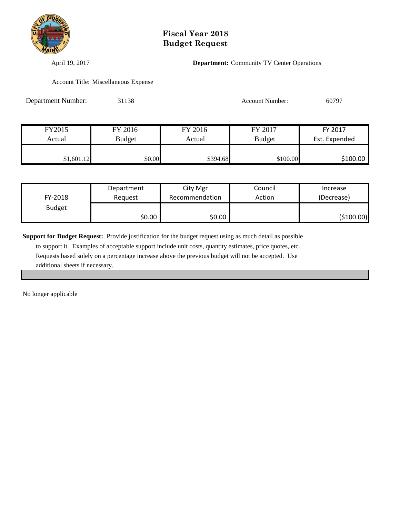

April 19, 2017 **Department:** Community TV Center Operations

Account Title: Miscellaneous Expense

| <b>Department Number:</b> | 31138         |          | <b>Account Number:</b> | 60797         |
|---------------------------|---------------|----------|------------------------|---------------|
|                           |               |          |                        |               |
| FY2015                    | FY 2016       | FY 2016  | FY 2017                | FY 2017       |
| Actual                    | <b>Budget</b> | Actual   | <b>Budget</b>          | Est. Expended |
| \$1,601.12                | \$0.00        | \$394.68 | \$100.00               | \$100.00      |

|               | Department | City Mgr       | Council | Increase   |
|---------------|------------|----------------|---------|------------|
| FY-2018       | Reauest    | Recommendation | Action  | (Decrease) |
| <b>Budget</b> |            |                |         |            |
|               | \$0.00     | \$0.00 l       |         | (\$100.00) |

**Support for Budget Request:** Provide justification for the budget request using as much detail as possible

 to support it. Examples of acceptable support include unit costs, quantity estimates, price quotes, etc. Requests based solely on a percentage increase above the previous budget will not be accepted. Use additional sheets if necessary.

No longer applicable